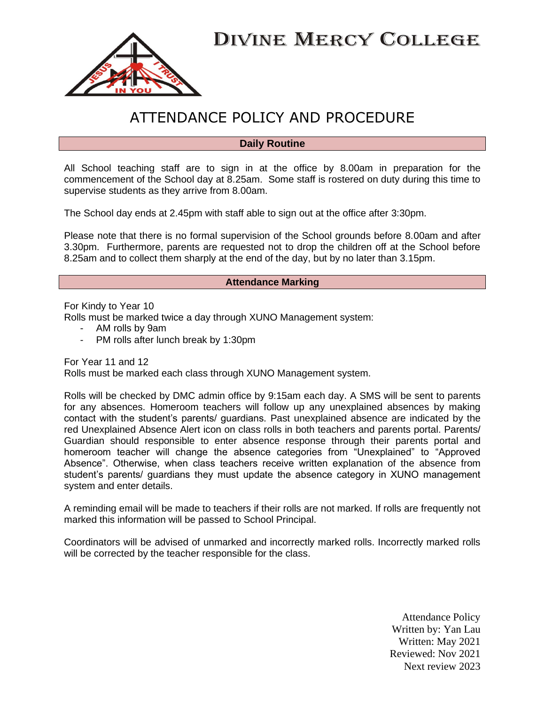



# ATTENDANCE POLICY AND PROCEDURE

#### **Daily Routine**

All School teaching staff are to sign in at the office by 8.00am in preparation for the commencement of the School day at 8.25am. Some staff is rostered on duty during this time to supervise students as they arrive from 8.00am.

The School day ends at 2.45pm with staff able to sign out at the office after 3:30pm.

Please note that there is no formal supervision of the School grounds before 8.00am and after 3.30pm. Furthermore, parents are requested not to drop the children off at the School before 8.25am and to collect them sharply at the end of the day, but by no later than 3.15pm.

#### **Attendance Marking**

For Kindy to Year 10

Rolls must be marked twice a day through XUNO Management system:

- AM rolls by 9am
- PM rolls after lunch break by 1:30pm

For Year 11 and 12 Rolls must be marked each class through XUNO Management system.

Rolls will be checked by DMC admin office by 9:15am each day. A SMS will be sent to parents for any absences. Homeroom teachers will follow up any unexplained absences by making contact with the student's parents/ guardians. Past unexplained absence are indicated by the red Unexplained Absence Alert icon on class rolls in both teachers and parents portal. Parents/ Guardian should responsible to enter absence response through their parents portal and homeroom teacher will change the absence categories from "Unexplained" to "Approved Absence". Otherwise, when class teachers receive written explanation of the absence from student's parents/ guardians they must update the absence category in XUNO management system and enter details.

A reminding email will be made to teachers if their rolls are not marked. If rolls are frequently not marked this information will be passed to School Principal.

Coordinators will be advised of unmarked and incorrectly marked rolls. Incorrectly marked rolls will be corrected by the teacher responsible for the class.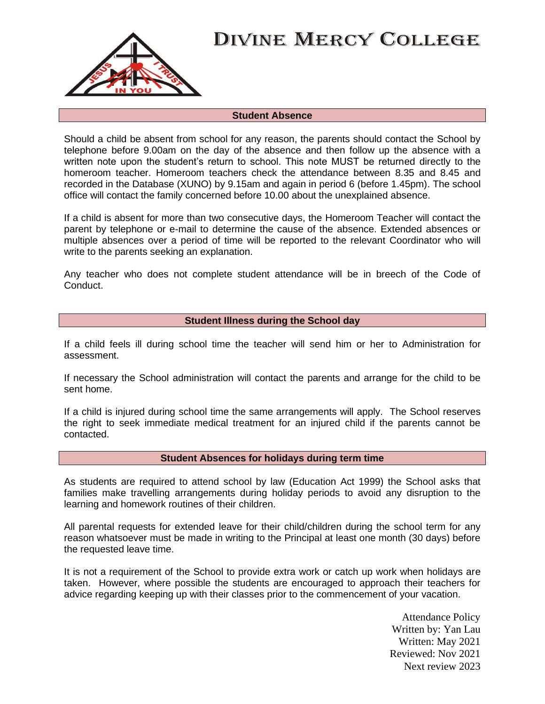

#### **Student Absence**

Should a child be absent from school for any reason, the parents should contact the School by telephone before 9.00am on the day of the absence and then follow up the absence with a written note upon the student's return to school. This note MUST be returned directly to the homeroom teacher. Homeroom teachers check the attendance between 8.35 and 8.45 and recorded in the Database (XUNO) by 9.15am and again in period 6 (before 1.45pm). The school office will contact the family concerned before 10.00 about the unexplained absence.

If a child is absent for more than two consecutive days, the Homeroom Teacher will contact the parent by telephone or e-mail to determine the cause of the absence. Extended absences or multiple absences over a period of time will be reported to the relevant Coordinator who will write to the parents seeking an explanation.

Any teacher who does not complete student attendance will be in breech of the Code of Conduct.

### **Student Illness during the School day**

If a child feels ill during school time the teacher will send him or her to Administration for assessment.

If necessary the School administration will contact the parents and arrange for the child to be sent home.

If a child is injured during school time the same arrangements will apply. The School reserves the right to seek immediate medical treatment for an injured child if the parents cannot be contacted.

### **Student Absences for holidays during term time**

As students are required to attend school by law (Education Act 1999) the School asks that families make travelling arrangements during holiday periods to avoid any disruption to the learning and homework routines of their children.

All parental requests for extended leave for their child/children during the school term for any reason whatsoever must be made in writing to the Principal at least one month (30 days) before the requested leave time.

It is not a requirement of the School to provide extra work or catch up work when holidays are taken. However, where possible the students are encouraged to approach their teachers for advice regarding keeping up with their classes prior to the commencement of your vacation.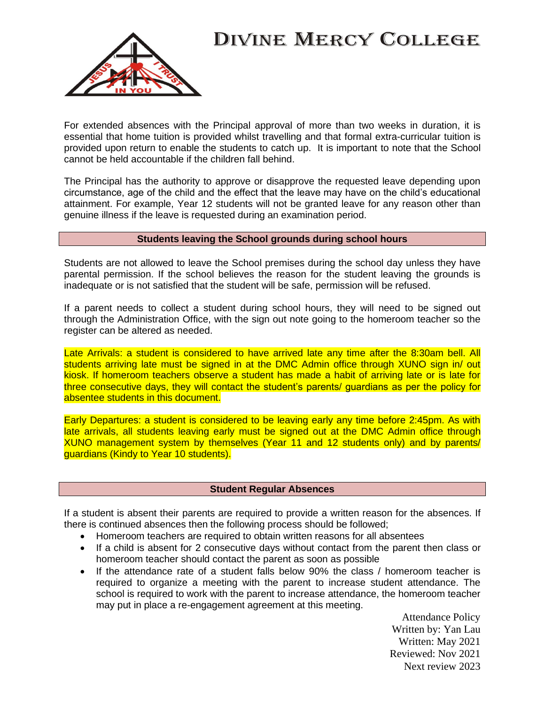

For extended absences with the Principal approval of more than two weeks in duration, it is essential that home tuition is provided whilst travelling and that formal extra-curricular tuition is provided upon return to enable the students to catch up. It is important to note that the School cannot be held accountable if the children fall behind.

The Principal has the authority to approve or disapprove the requested leave depending upon circumstance, age of the child and the effect that the leave may have on the child's educational attainment. For example, Year 12 students will not be granted leave for any reason other than genuine illness if the leave is requested during an examination period.

#### **Students leaving the School grounds during school hours**

Students are not allowed to leave the School premises during the school day unless they have parental permission. If the school believes the reason for the student leaving the grounds is inadequate or is not satisfied that the student will be safe, permission will be refused.

If a parent needs to collect a student during school hours, they will need to be signed out through the Administration Office, with the sign out note going to the homeroom teacher so the register can be altered as needed.

Late Arrivals: a student is considered to have arrived late any time after the 8:30am bell. All students arriving late must be signed in at the DMC Admin office through XUNO sign in/ out kiosk. If homeroom teachers observe a student has made a habit of arriving late or is late for three consecutive days, they will contact the student's parents/ guardians as per the policy for absentee students in this document.

Early Departures: a student is considered to be leaving early any time before 2:45pm. As with late arrivals, all students leaving early must be signed out at the DMC Admin office through XUNO management system by themselves (Year 11 and 12 students only) and by parents/ guardians (Kindy to Year 10 students).

### **Student Regular Absences**

If a student is absent their parents are required to provide a written reason for the absences. If there is continued absences then the following process should be followed;

- Homeroom teachers are required to obtain written reasons for all absentees
- If a child is absent for 2 consecutive days without contact from the parent then class or homeroom teacher should contact the parent as soon as possible
- If the attendance rate of a student falls below 90% the class / homeroom teacher is required to organize a meeting with the parent to increase student attendance. The school is required to work with the parent to increase attendance, the homeroom teacher may put in place a re-engagement agreement at this meeting.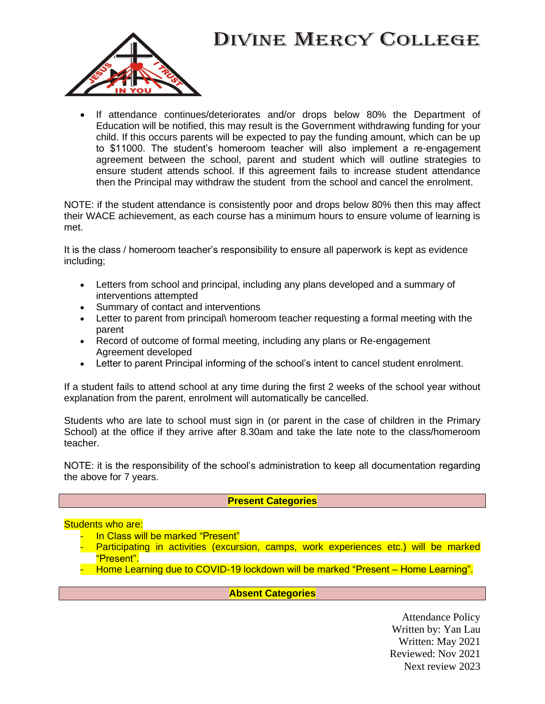

• If attendance continues/deteriorates and/or drops below 80% the Department of Education will be notified, this may result is the Government withdrawing funding for your child. If this occurs parents will be expected to pay the funding amount, which can be up to \$11000. The student's homeroom teacher will also implement a re-engagement agreement between the school, parent and student which will outline strategies to ensure student attends school. If this agreement fails to increase student attendance then the Principal may withdraw the student from the school and cancel the enrolment.

NOTE: if the student attendance is consistently poor and drops below 80% then this may affect their WACE achievement, as each course has a minimum hours to ensure volume of learning is met.

It is the class / homeroom teacher's responsibility to ensure all paperwork is kept as evidence including;

- Letters from school and principal, including any plans developed and a summary of interventions attempted
- Summary of contact and interventions
- Letter to parent from principal\ homeroom teacher requesting a formal meeting with the parent
- Record of outcome of formal meeting, including any plans or Re-engagement Agreement developed
- Letter to parent Principal informing of the school's intent to cancel student enrolment.

If a student fails to attend school at any time during the first 2 weeks of the school year without explanation from the parent, enrolment will automatically be cancelled.

Students who are late to school must sign in (or parent in the case of children in the Primary School) at the office if they arrive after 8.30am and take the late note to the class/homeroom teacher.

NOTE: it is the responsibility of the school's administration to keep all documentation regarding the above for 7 years.

### **Present Categories**

## Students who are:

- **In Class will be marked "Present"**
- Participating in activities (excursion, camps, work experiences etc.) will be marked "Present".
- Home Learning due to COVID-19 lockdown will be marked "Present Home Learning".

**Absent Categories**